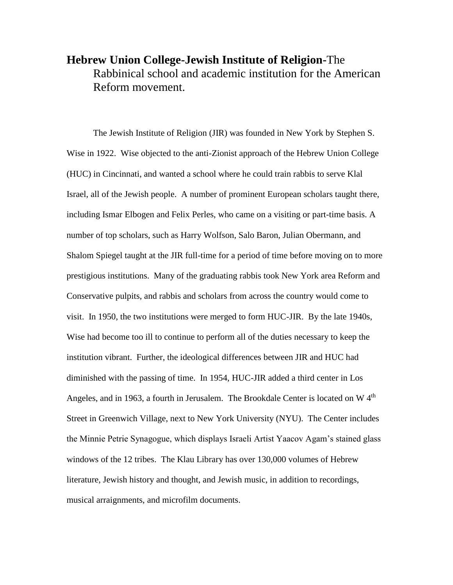## **Hebrew Union College-Jewish Institute of Religion-**The Rabbinical school and academic institution for the American Reform movement.

The Jewish Institute of Religion (JIR) was founded in New York by Stephen S. Wise in 1922. Wise objected to the anti-Zionist approach of the Hebrew Union College (HUC) in Cincinnati, and wanted a school where he could train rabbis to serve Klal Israel, all of the Jewish people. A number of prominent European scholars taught there, including Ismar Elbogen and Felix Perles, who came on a visiting or part-time basis. A number of top scholars, such as Harry Wolfson, Salo Baron, Julian Obermann, and Shalom Spiegel taught at the JIR full-time for a period of time before moving on to more prestigious institutions. Many of the graduating rabbis took New York area Reform and Conservative pulpits, and rabbis and scholars from across the country would come to visit. In 1950, the two institutions were merged to form HUC-JIR. By the late 1940s, Wise had become too ill to continue to perform all of the duties necessary to keep the institution vibrant. Further, the ideological differences between JIR and HUC had diminished with the passing of time. In 1954, HUC-JIR added a third center in Los Angeles, and in 1963, a fourth in Jerusalem. The Brookdale Center is located on W 4<sup>th</sup> Street in Greenwich Village, next to New York University (NYU). The Center includes the Minnie Petrie Synagogue, which displays Israeli Artist Yaacov Agam's stained glass windows of the 12 tribes. The Klau Library has over 130,000 volumes of Hebrew literature, Jewish history and thought, and Jewish music, in addition to recordings, musical arraignments, and microfilm documents.